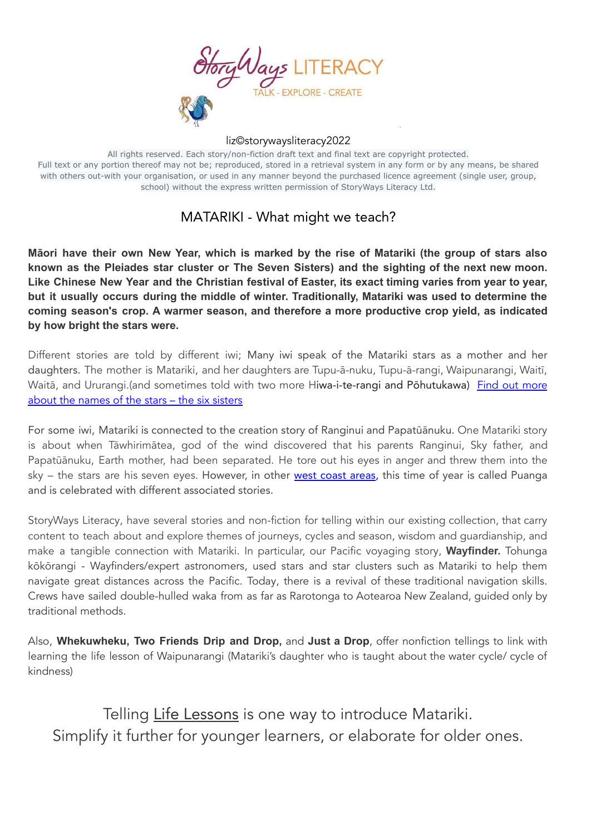

All rights reserved. Each story/non-fiction draft text and final text are copyright protected. Full text or any portion thereof may not be; reproduced, stored in a retrieval system in any form or by any means, be shared with others out-with your organisation, or used in any manner beyond the purchased licence agreement (single user, group, school) without the express written permission of StoryWays Literacy Ltd.

## MATARIKI - What might we teach?

Māori have their own New Year, which is marked by the rise of Matariki (the group of stars also **known as the Pleiades star cluster or The Seven Sisters) and the sighting of the next new moon.** Like Chinese New Year and the Christian festival of Easter, its exact timing varies from year to year, **but it usually occurs during the middle of winter. Traditionally, Matariki was used to determine the coming season's crop. A warmer season, and therefore a more productive crop yield, as indicated by how bright the stars were.**

Different stories are told by different iwi; Many iwi speak of the Matariki stars as a mother and her daughters. The mother is Matariki, and her daughters are Tupu-ā-nuku, Tupu-ā-rangi, Waipunarangi, Waitī, Waitā, and Ururangi.(and sometimes told with two [more](https://www.tepapa.govt.nz/discover-collections/read-watch-play/maori/matariki-maori-new-year/legend-matariki-and-six-sisters) Hiwa-i-te-rangi and Pōhutukawa) Find out more about the [names](https://www.tepapa.govt.nz/discover-collections/read-watch-play/maori/matariki-maori-new-year/legend-matariki-and-six-sisters) of the stars – the six sisters

For some iwi, Matariki is connected to the creation story of Ranginui and Papatūānuku. One Matariki story is about when Tāwhirimātea, god of the wind discovered that his parents Ranginui, Sky father, and Papatūānuku, Earth mother, had been separated. He tore out his eyes in anger and threw them into the sky – the stars are his seven eyes. However, in other west [coast](https://www.tepapa.govt.nz/discover-collections/read-watch-play/maori/matariki-maori-new-year/what-matariki/difference-between-matariki-puanga) areas, this time of year is called Puanga and is celebrated with different associated stories.

StoryWays Literacy, have several stories and non-fiction for telling within our existing collection, that carry content to teach about and explore themes of journeys, cycles and season, wisdom and guardianship, and make a tangible connection with Matariki. In particular, our Pacific voyaging story, **Wayfinder.** Tohunga kōkōrangi - Wayfinders/expert astronomers, used stars and star clusters such as Matariki to help them navigate great distances across the Pacific. Today, there is a revival of these traditional navigation skills. Crews have sailed double-hulled waka from as far as Rarotonga to Aotearoa New Zealand, guided only by traditional methods.

Also, **Whekuwheku, Two Friends Drip and Drop,** and **Just a Drop**, offer nonfiction tellings to link with learning the life lesson of Waipunarangi (Matariki's daughter who is taught about the water cycle/ cycle of kindness)

Telling Life Lessons is one way to introduce Matariki. Simplify it further for younger learners, or elaborate for older ones.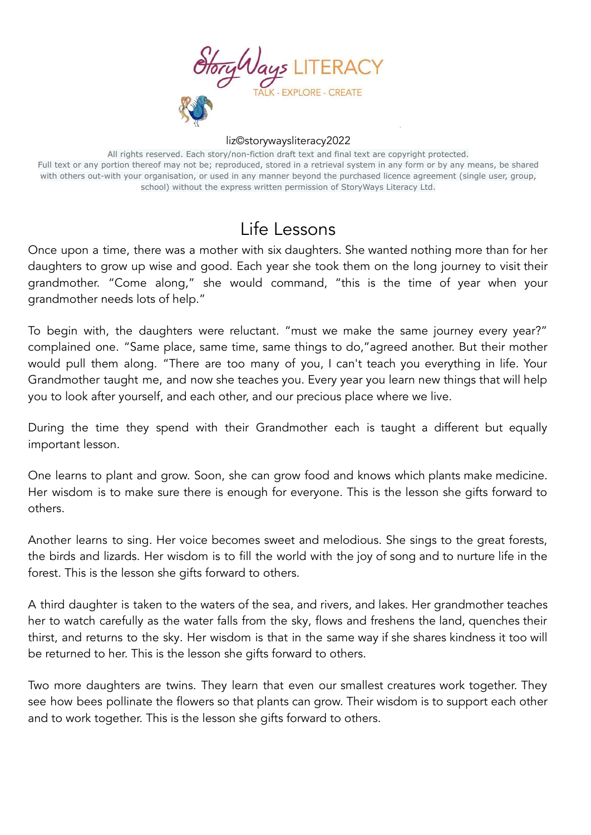

All rights reserved. Each story/non-fiction draft text and final text are copyright protected. Full text or any portion thereof may not be; reproduced, stored in a retrieval system in any form or by any means, be shared with others out-with your organisation, or used in any manner beyond the purchased licence agreement (single user, group, school) without the express written permission of StoryWays Literacy Ltd.

## Life Lessons

Once upon a time, there was a mother with six daughters. She wanted nothing more than for her daughters to grow up wise and good. Each year she took them on the long journey to visit their grandmother. "Come along," she would command, "this is the time of year when your grandmother needs lots of help."

To begin with, the daughters were reluctant. "must we make the same journey every year?" complained one. "Same place, same time, same things to do,"agreed another. But their mother would pull them along. "There are too many of you, I can't teach you everything in life. Your Grandmother taught me, and now she teaches you. Every year you learn new things that will help you to look after yourself, and each other, and our precious place where we live.

During the time they spend with their Grandmother each is taught a different but equally important lesson.

One learns to plant and grow. Soon, she can grow food and knows which plants make medicine. Her wisdom is to make sure there is enough for everyone. This is the lesson she gifts forward to others.

Another learns to sing. Her voice becomes sweet and melodious. She sings to the great forests, the birds and lizards. Her wisdom is to fill the world with the joy of song and to nurture life in the forest. This is the lesson she gifts forward to others.

A third daughter is taken to the waters of the sea, and rivers, and lakes. Her grandmother teaches her to watch carefully as the water falls from the sky, flows and freshens the land, quenches their thirst, and returns to the sky. Her wisdom is that in the same way if she shares kindness it too will be returned to her. This is the lesson she gifts forward to others.

Two more daughters are twins. They learn that even our smallest creatures work together. They see how bees pollinate the flowers so that plants can grow. Their wisdom is to support each other and to work together. This is the lesson she gifts forward to others.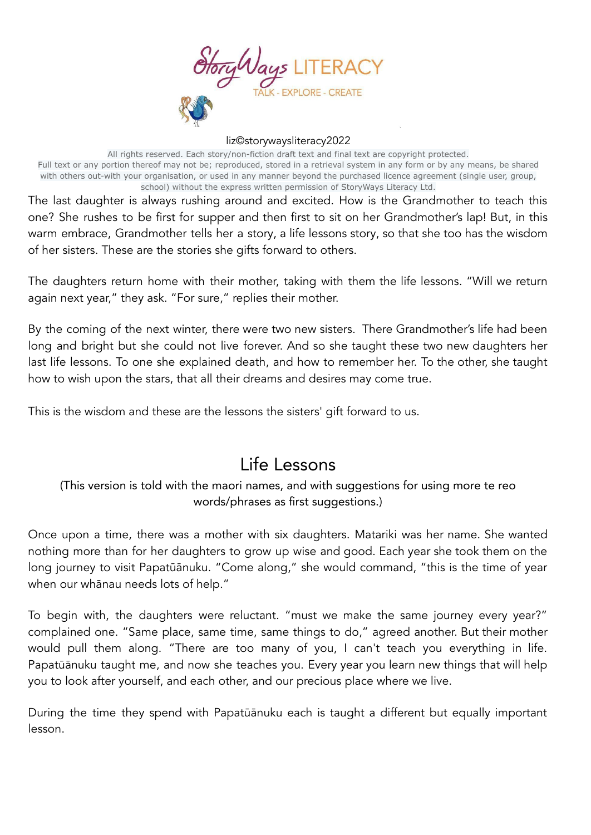

All rights reserved. Each story/non-fiction draft text and final text are copyright protected. Full text or any portion thereof may not be; reproduced, stored in a retrieval system in any form or by any means, be shared with others out-with your organisation, or used in any manner beyond the purchased licence agreement (single user, group, school) without the express written permission of StoryWays Literacy Ltd.

The last daughter is always rushing around and excited. How is the Grandmother to teach this one? She rushes to be first for supper and then first to sit on her Grandmother's lap! But, in this warm embrace, Grandmother tells her a story, a life lessons story, so that she too has the wisdom of her sisters. These are the stories she gifts forward to others.

The daughters return home with their mother, taking with them the life lessons. "Will we return again next year," they ask. "For sure," replies their mother.

By the coming of the next winter, there were two new sisters. There Grandmother's life had been long and bright but she could not live forever. And so she taught these two new daughters her last life lessons. To one she explained death, and how to remember her. To the other, she taught how to wish upon the stars, that all their dreams and desires may come true.

This is the wisdom and these are the lessons the sisters' gift forward to us.

# Life Lessons

### (This version is told with the maori names, and with suggestions for using more te reo words/phrases as first suggestions.)

Once upon a time, there was a mother with six daughters. Matariki was her name. She wanted nothing more than for her daughters to grow up wise and good. Each year she took them on the long journey to visit Papatūānuku. "Come along," she would command, "this is the time of year when our whānau needs lots of help."

To begin with, the daughters were reluctant. "must we make the same journey every year?" complained one. "Same place, same time, same things to do," agreed another. But their mother would pull them along. "There are too many of you, I can't teach you everything in life. Papatūānuku taught me, and now she teaches you. Every year you learn new things that will help you to look after yourself, and each other, and our precious place where we live.

During the time they spend with Papatūānuku each is taught a different but equally important lesson.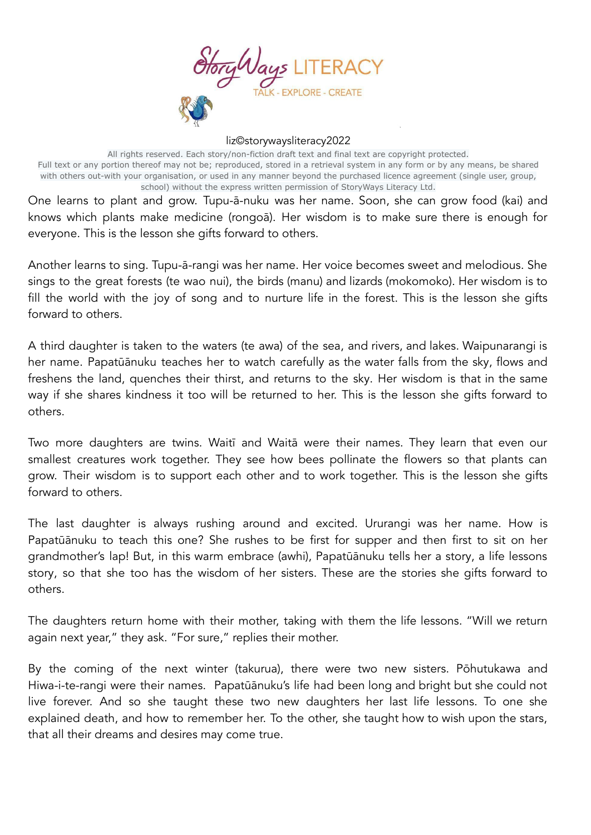

All rights reserved. Each story/non-fiction draft text and final text are copyright protected. Full text or any portion thereof may not be; reproduced, stored in a retrieval system in any form or by any means, be shared with others out-with your organisation, or used in any manner beyond the purchased licence agreement (single user, group, school) without the express written permission of StoryWays Literacy Ltd.

One learns to plant and grow. Tupu-ā-nuku was her name. Soon, she can grow food (kai) and knows which plants make medicine (rongoā). Her wisdom is to make sure there is enough for everyone. This is the lesson she gifts forward to others.

Another learns to sing. Tupu-ā-rangi was her name. Her voice becomes sweet and melodious. She sings to the great forests (te wao nui), the birds (manu) and lizards (mokomoko). Her wisdom is to fill the world with the joy of song and to nurture life in the forest. This is the lesson she gifts forward to others.

A third daughter is taken to the waters (te awa) of the sea, and rivers, and lakes. Waipunarangi is her name. Papatūānuku teaches her to watch carefully as the water falls from the sky, flows and freshens the land, quenches their thirst, and returns to the sky. Her wisdom is that in the same way if she shares kindness it too will be returned to her. This is the lesson she gifts forward to others.

Two more daughters are twins. Waitī and Waitā were their names. They learn that even our smallest creatures work together. They see how bees pollinate the flowers so that plants can grow. Their wisdom is to support each other and to work together. This is the lesson she gifts forward to others.

The last daughter is always rushing around and excited. Ururangi was her name. How is Papatūānuku to teach this one? She rushes to be first for supper and then first to sit on her grandmother's lap! But, in this warm embrace (awhi), Papatūānuku tells her a story, a life lessons story, so that she too has the wisdom of her sisters. These are the stories she gifts forward to others.

The daughters return home with their mother, taking with them the life lessons. "Will we return again next year," they ask. "For sure," replies their mother.

By the coming of the next winter (takurua), there were two new sisters. Pōhutukawa and Hiwa-i-te-rangi were their names. Papatūānuku's life had been long and bright but she could not live forever. And so she taught these two new daughters her last life lessons. To one she explained death, and how to remember her. To the other, she taught how to wish upon the stars, that all their dreams and desires may come true.